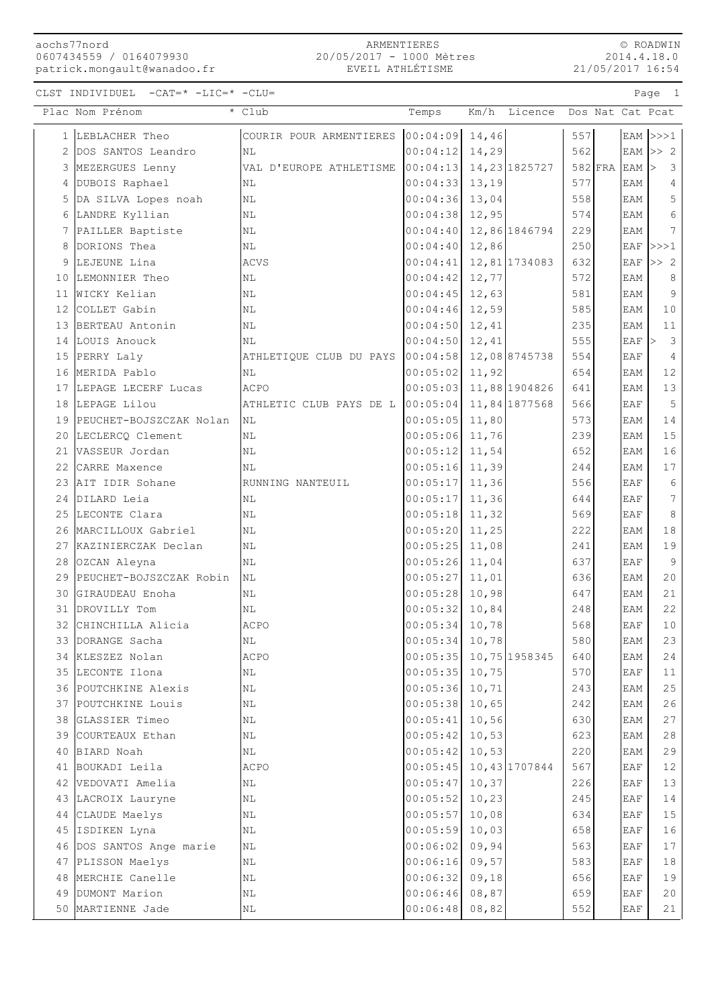## aochs77nord 0607434559 / 0164079930 0607434559 / 0164079930<br>patrick.mongault@wanadoo.fr

## ARMENTIERES 20/05/2017 - 1000 Mètres EVEIL ATHLÉTISME

© ROADWIN 2014.4.18.0 21/05/2017 16:54

Page 1

CLST INDIVIDUEL  $-CAT = * -LIC = * -CLU =$ 

|    | Plac Nom Prénom                     | $\overline{\cdot}$ Club                | Temps                |                | Km/h Licence Dos Nat Cat Pcat |            |           |                        |                         |
|----|-------------------------------------|----------------------------------------|----------------------|----------------|-------------------------------|------------|-----------|------------------------|-------------------------|
|    | LEBLACHER Theo                      | COURIR POUR ARMENTIERES 00:04:09 14,46 |                      |                |                               | 557        |           |                        | EAM $ >>1$              |
| 2  | DOS SANTOS Leandro                  | NL                                     | 00:04:12             | 14,29          |                               | 562        |           |                        | $EAM$ >> 2              |
| 3  | MEZERGUES Lenny                     | VAL D'EUROPE ATHLETISME                | 00:04:13             |                | 14, 23 1825727                |            | $582$ FRA | $EAM$ >                | $\overline{\mathbf{3}}$ |
| 4  | DUBOIS Raphael                      | NL                                     | 00:04:33             | 13,19          |                               | 577        |           | EAM                    | $\overline{4}$          |
| 5  | DA SILVA Lopes noah                 | $\mathbb{N}\mathbb{L}$                 | 00:04:36             | 13,04          |                               | 558        |           | EAM                    | $\mathsf S$             |
| 6  | LANDRE Kyllian                      | ΝL                                     | 00:04:38             | 12,95          |                               | 574        |           | EAM                    | $\epsilon$              |
|    | 7 PAILLER Baptiste                  | ΝL                                     | 00:04:40             |                | 12,86 1846794                 | 229        |           | EAM                    | 7                       |
| 8  | DORIONS Thea                        | ΝL                                     | 00:04:40             | 12,86          |                               | 250        |           | EAF                    | >>>1                    |
| 9  | LEJEUNE Lina                        | <b>ACVS</b>                            | 00:04:41             |                | 12,81 1734083                 | 632        |           | EAF                    | >> 2                    |
| 10 | LEMONNIER Theo                      | ΝL                                     | 00:04:42             | 12,77          |                               | 572        |           | EAM                    | 8                       |
|    | 11 WICKY Kelian                     | ΝL                                     | 00:04:45             | 12,63          |                               | 581        |           | EAM                    | $\overline{9}$          |
|    | 12 COLLET Gabin                     | ΝL                                     | 00:04:46             | 12,59          |                               | 585        |           | EAM                    | 10                      |
|    | 13 BERTEAU Antonin                  | ΝL                                     | 00:04:50             | 12,41          |                               | 235        |           | EAM                    | 11                      |
|    | 14 LOUIS Anouck                     | ΝL                                     | 00:04:50             | 12,41          |                               | 555        |           | $EAF$ $\triangleright$ | $\overline{\mathbf{3}}$ |
|    | 15 PERRY Laly                       | ATHLETIQUE CLUB DU PAYS                | 00:04:58             |                | 12,08 8745738                 | 554        |           | EAF                    | $\overline{4}$          |
|    | 16 MERIDA Pablo                     | <b>NL</b>                              | 00:05:02             | 11,92          |                               | 654        |           | EAM                    | 12                      |
|    | 17 LEPAGE LECERF Lucas              | ACPO                                   | 00:05:03             |                | 11,88 1904826                 | 641        |           | EAM                    | 13                      |
|    | 18 LEPAGE Lilou                     | ATHLETIC CLUB PAYS DE L                | 00:05:04             |                | 11,84 1877568                 | 566        |           | EAF                    | 5                       |
|    | 19 PEUCHET-BOJSZCZAK Nolan          | NL                                     | 00:05:05             | 11,80          |                               | 573        |           | EAM                    | 14                      |
|    | 20 LECLERCQ Clement                 | NL                                     | 00:05:06             | 11,76          |                               | 239        |           | EAM                    | 15                      |
|    | 21 VASSEUR Jordan                   | ΝL                                     | 00:05:12             | 11,54          |                               | 652        |           | EAM                    | 16                      |
|    | 22 CARRE Maxence                    | ΝL                                     | 00:05:16             | 11,39          |                               | 244        |           | EAM                    | 17                      |
|    | 23 AIT IDIR Sohane                  | RUNNING NANTEUIL                       | 00:05:17             | 11,36          |                               | 556        |           | EAF                    | 6                       |
|    | 24 DILARD Leia                      | ΝL                                     | 00:05:17             | 11,36          |                               | 644        |           | <b>EAF</b>             | $7\phantom{.0}$         |
|    | 25 LECONTE Clara                    | NL                                     | 00:05:18             | 11,32          |                               | 569        |           | EAF                    | $\,8\,$                 |
|    | 26 MARCILLOUX Gabriel               | ΝL                                     | 00:05:20             | 11,25          |                               | 222        |           | EAM                    | 18                      |
|    | 27 KAZINIERCZAK Declan              | ΝL                                     | 00:05:25             | 11,08          |                               | 241        |           | EAM                    | 19                      |
|    | 28 OZCAN Aleyna                     | ΝL                                     | 00:05:26             | 11,04          |                               | 637        |           | EAF                    | 9                       |
|    | 29 PEUCHET-BOJSZCZAK Robin          | ΝL                                     | 00:05:27             | 11,01          |                               | 636        |           | EAM                    | 20                      |
| 30 | GIRAUDEAU Enoha                     | NL                                     | 00:05:28             | 10,98          |                               | 647        |           | EAM                    | 21                      |
|    | 31 DROVILLY Tom                     | ΝL                                     | 00:05:32             | 10,84          |                               | 248        |           | EAM                    | 22                      |
|    | 32 CHINCHILLA Alicia                | ACPO                                   | 00:05:34             | 10,78          |                               | 568        |           | EAF                    | 10                      |
|    | 33 DORANGE Sacha                    | $\rm NL$                               | 00:05:34 10,78       |                |                               | 580        |           | EAM                    | 23                      |
| 34 | KLESZEZ Nolan                       | ACPO                                   | 00:05:35             |                | 10,75 1958345                 | 640        |           | EAM                    | 24                      |
|    | 35 LECONTE Ilona                    | ΝL                                     | 00:05:35             | 10,75          |                               | 570        |           | EAF                    | 11                      |
|    | 36 POUTCHKINE Alexis                | ΝL                                     | 00:05:36             | 10,71          |                               | 243        |           | EAM                    | 25                      |
|    | 37 POUTCHKINE Louis                 | ΝL                                     | 00:05:38<br>00:05:41 | 10,65          |                               | 242        |           | EAM                    | 26                      |
|    | 38 GLASSIER Timeo                   | $\rm NL$                               |                      | 10,56          |                               | 630        |           | EAM                    | 27                      |
|    | 39 COURTEAUX Ethan<br>40 BIARD Noah | ΝL<br>ΝL                               | 00:05:42<br>00:05:42 | 10,53<br>10,53 |                               | 623<br>220 |           | EAM<br>EAM             | 28<br>29                |
|    | 41 BOUKADI Leila                    | ACPO                                   | 00:05:45             |                | 10,43 1707844                 | 567        |           | EAF                    | 12                      |
|    | 42 VEDOVATI Amelia                  | ΝL                                     | 00:05:47             | 10,37          |                               | 226        |           | EAF                    | 13                      |
|    | 43 LACROIX Lauryne                  | ΝL                                     | 00:05:52             | 10,23          |                               | 245        |           | EAF                    | 14                      |
| 44 | CLAUDE Maelys                       | ΝL                                     | 00:05:57             | 10,08          |                               | 634        |           | EAF                    | 15                      |
| 45 | ISDIKEN Lyna                        | ΝL                                     | 00:05:59             | 10,03          |                               | 658        |           | EAF                    | 16                      |
|    | 46 DOS SANTOS Ange marie            | ΝL                                     | 00:06:02             | 09,94          |                               | 563        |           | EAF                    | 17                      |
|    | 47 PLISSON Maelys                   | ΝL                                     | 00:06:16             | 09,57          |                               | 583        |           | EAF                    | 18                      |
|    | 48 MERCHIE Canelle                  | ΝL                                     | 00:06:32             | 09,18          |                               | 656        |           | EAF                    | 19                      |
|    | 49 DUMONT Marion                    | ΝL                                     | 00:06:46             | 08,87          |                               | 659        |           | EAF                    | 20                      |
|    | 50 MARTIENNE Jade                   | ΝL                                     | 00:06:48             | 08,82          |                               | 552        |           | EAF                    | 21                      |
|    |                                     |                                        |                      |                |                               |            |           |                        |                         |